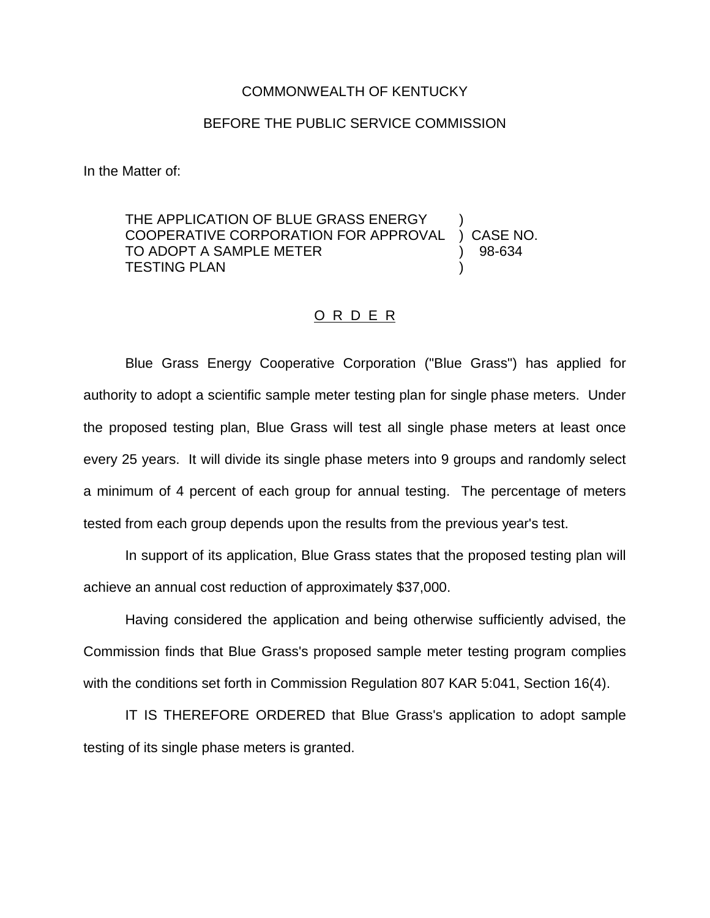## COMMONWEALTH OF KENTUCKY

## BEFORE THE PUBLIC SERVICE COMMISSION

In the Matter of:

THE APPLICATION OF BLUE GRASS ENERGY COOPERATIVE CORPORATION FOR APPROVAL ) CASE NO. TO ADOPT A SAMPLE METER (2008) 98-634 **TESTING PLAN** 

## O R D E R

Blue Grass Energy Cooperative Corporation ("Blue Grass") has applied for authority to adopt a scientific sample meter testing plan for single phase meters. Under the proposed testing plan, Blue Grass will test all single phase meters at least once every 25 years. It will divide its single phase meters into 9 groups and randomly select a minimum of 4 percent of each group for annual testing. The percentage of meters tested from each group depends upon the results from the previous year's test.

In support of its application, Blue Grass states that the proposed testing plan will achieve an annual cost reduction of approximately \$37,000.

Having considered the application and being otherwise sufficiently advised, the Commission finds that Blue Grass's proposed sample meter testing program complies with the conditions set forth in Commission Regulation 807 KAR 5:041, Section 16(4).

IT IS THEREFORE ORDERED that Blue Grass's application to adopt sample testing of its single phase meters is granted.